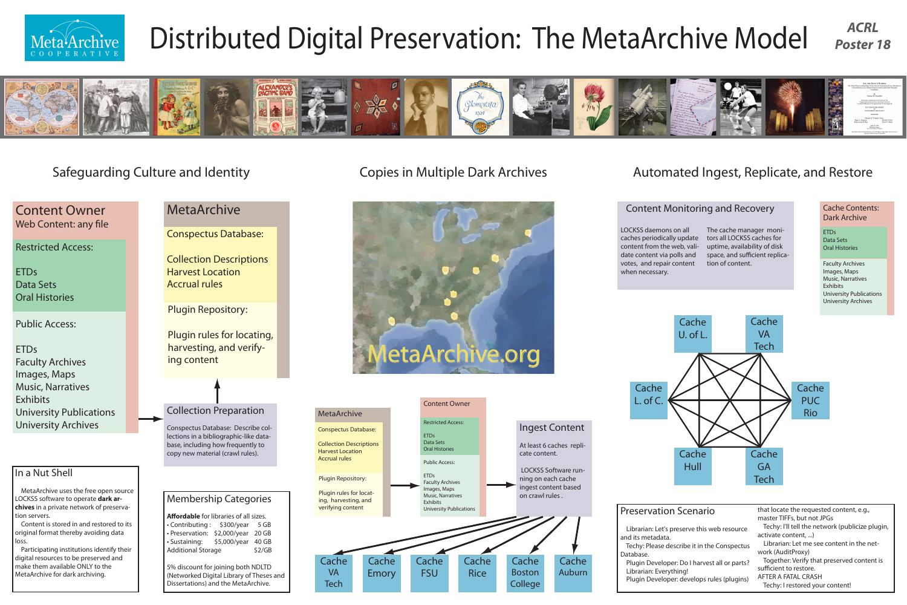# Collection Preparation

Conspectus Database: Describe collections in a bibliographic-like database, including how frequently to copy new material (crawl rules).

## Safeguarding Culture and Identity

## Content Owner Web Content: any file

Restricted Access:

ETDs Data Sets Oral Histories

Public Access:

ETDs Faculty Archives Images, Maps Music, Narratives **Exhibits** University Publications University Archives

## Membership Categories

Affordable for libraries of all sizes. • Contributing : \$300/year 5 GB • Preservation: \$2,000/year 20 GB • Sustaining: \$5,000/year 40 GB Additional Storage \$2/GB

- 
- 
- 

Plugin rules for locating, harvesting, and verifying content

5% discount for joining both NDLTD (Networked Digital Library of Theses and Dissertations) and the MetaArchive.

### In a Nut Shell

 MetaArchive uses the free open source LOCKSS software to operate **dark archives** in a private network of preservation servers.

 Content is stored in and restored to its original format thereby avoiding data loss.

 Participating institutions identify their digital resources to be preserved and make them available ONLY to the MetaArchive for dark archiving.

LOCKSS daemons on all caches periodically update content from the web, validate content via polls and votes, and repair content when necessary.

Plugin Repository:

ETDs Data Sets **Oral Histories** 

Conspectus Database:

Collection Descriptions Harvest Location Accrual rules

## MetaArchive

# Copies in Multiple Dark Archives



### Plugin Repository: Plugin rules for locating, harvesting, and verifying content Conspectus Database: Collection Descriptions Harvest Location Accrual rules MetaArchive **Cache** VA Tech Cache **FSU** Cache Emory Restricted Access: ETDs Data Sets Oral Histories Public Access: ETDs Faculty Archives Images, Maps Music, Narratives **Exhibits** University Publications

## Automated Ingest, Replicate, and Restore



The cache manager monitors all LOCKSS caches for uptime, availability of disk space, and sufficient replication of content.

## Content Monitoring and Recovery

Faculty Archives Images, Maps Music, Narratives Exhibits University Publications University Archives

Cache Contents: Dark Archive

| scenario                                                      | that locate the requested content, e.g.,<br>master TIFFs, but not JPGs                                                                |
|---------------------------------------------------------------|---------------------------------------------------------------------------------------------------------------------------------------|
| serve this web resource                                       | Techy: I'll tell the network (publicize plugin,<br>activate content, )                                                                |
| ribe it in the Conspectus                                     | Librarian: Let me see content in the net-<br>work (AuditProxy)                                                                        |
| Do I harvest all or parts?<br>ng!<br>develops rules (plugins) | Together: Verify that preserved content is<br>sufficient to restore.<br><b>AFTER A FATAL CRASH</b><br>Techy: I restored your content! |
|                                                               |                                                                                                                                       |



# Distributed Digital Preservation: The MetaArchive Model *ACRL*